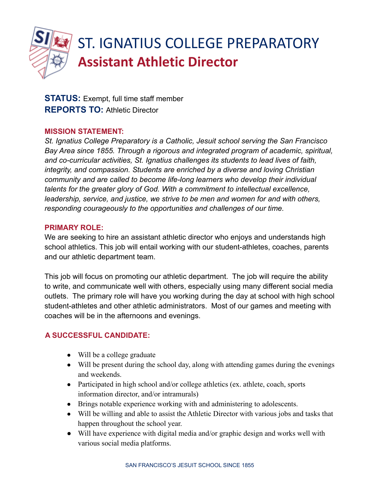

**STATUS:** Exempt, full time staff member **REPORTS TO:** Athletic Director

#### **MISSION STATEMENT:**

*St. Ignatius College Preparatory is a Catholic, Jesuit school serving the San Francisco Bay Area since 1855. Through a rigorous and integrated program of academic, spiritual, and co-curricular activities, St. Ignatius challenges its students to lead lives of faith, integrity, and compassion. Students are enriched by a diverse and loving Christian community and are called to become life-long learners who develop their individual talents for the greater glory of God. With a commitment to intellectual excellence, leadership, service, and justice, we strive to be men and women for and with others, responding courageously to the opportunities and challenges of our time.*

#### **PRIMARY ROLE:**

We are seeking to hire an assistant athletic director who enjoys and understands high school athletics. This job will entail working with our student-athletes, coaches, parents and our athletic department team.

This job will focus on promoting our athletic department. The job will require the ability to write, and communicate well with others, especially using many different social media outlets. The primary role will have you working during the day at school with high school student-athletes and other athletic administrators. Most of our games and meeting with coaches will be in the afternoons and evenings.

### **A SUCCESSFUL CANDIDATE:**

- Will be a college graduate
- Will be present during the school day, along with attending games during the evenings and weekends.
- Participated in high school and/or college athletics (ex. athlete, coach, sports information director, and/or intramurals)
- Brings notable experience working with and administering to adolescents.
- Will be willing and able to assist the Athletic Director with various jobs and tasks that happen throughout the school year.
- Will have experience with digital media and/or graphic design and works well with various social media platforms.